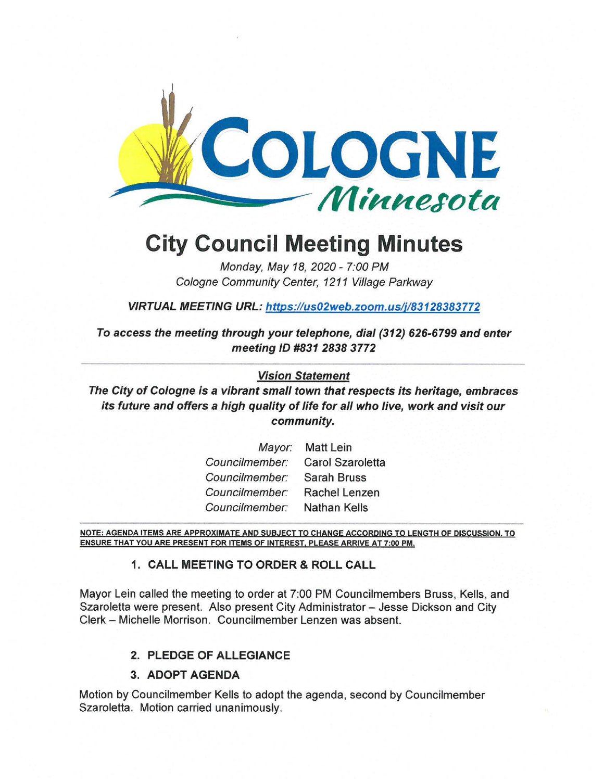

# **City Council Meeting Minutes**

Monday, May 18, 2020 - 7:00 PM Cologne Community Center, 1211 Village Parkway

VIRTUAL MEETING URL: https://us02web.zoom.us/j/83128383772

**To access the meeting through your telephone, dial (312) 626-6799 and enter meeting ID #831 2838 3772** 

## **Vision Statement**

**The City of Cologne is a vibrant small town that respects its heritage, embraces its future and offers a high quality of life for all who live, work and visit our community.** 

| Mayor:         | <b>Matt Lein</b>     |
|----------------|----------------------|
| Councilmember: | Carol Szaroletta     |
| Councilmember: | <b>Sarah Bruss</b>   |
| Councilmember: | <b>Rachel Lenzen</b> |
| Councilmember: | <b>Nathan Kells</b>  |

NOTE: AGENDA ITEMS ARE APPROXIMATE AND SUBJECT TO CHANGE ACCORDING TO LENGTH OF DISCUSSION. TO **ENSURE THAT YOU ARE PRESENT FOR ITEMS** OF **INTEREST. PLEASE ARRIVE AT 7:00 PM.** 

## **1. CALL MEETING TO ORDER** & **ROLL CALL**

Mayor Lein called the meeting to order at 7:00 PM Councilmembers Bruss, Kells, and Szaroletta were present. Also present City Administrator - Jesse Dickson and City Clerk - Michelle Morrison. Councilmember Lenzen was absent.

# **2. PLEDGE OF ALLEGIANCE**

## **3. ADOPT AGENDA**

Motion by Councilmember Kells to adopt the agenda, second by Councilmember Szaroletta. Motion carried unanimously.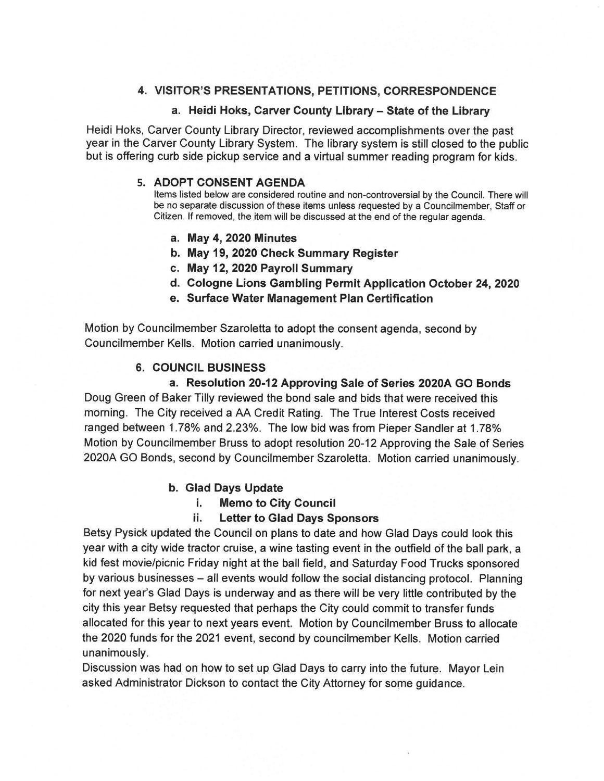## **4. VISITOR'S PRESENTATIONS, PETITIONS, CORRESPONDENCE**

#### **a. Heidi Hoks, Carver County Library - State of the Library**

Heidi Hoks, Carver County Library Director, reviewed accomplishments over the past year in the Carver County Library System. The library system is still closed to the public but is offering curb side pickup service and a virtual summer reading program for kids.

#### **5. ADOPT CONSENT AGENDA**

Items listed below are considered routine and non-controversial by the Council. There will be no separate discussion of these items unless requested by a Councilmember, Staff or Citizen. If removed, the item will be discussed at the end of the regular agenda.

- **a. May 4, 2020 Minutes**
- **b. May 19, 2020 Check Summary Register**
- **c. May 12, 2020 Payroll Summary**
- **d. Cologne Lions Gambling Permit Application October 24, 2020**
- **e. Surface Water Management Plan Certification**

Motion by Councilmember Szaroletta to adopt the consent agenda, second by Councilmember Kells. Motion carried unanimously.

## **6. COUNCIL BUSINESS**

**a. Resolution 20-12 Approving Sale of Series 2020A GO Bonds**  Doug Green of Baker Tilly reviewed the bond sale and bids that were received this morning. The City received a AA Credit Rating. The True Interest Costs received ranged between 1.78% and 2.23%. The low bid was from Pieper Sandler at 1.78% Motion by Councilmember Bruss to adopt resolution 20-12 Approving the Sale of Series 2020A GO Bonds, second by Councilmember Szaroletta. Motion carried unanimously.

#### **b. Glad Days Update**

**i. Memo to City Council** 

#### **ii. Letter to Glad Days Sponsors**

Betsy Pysick updated the Council on plans to date and how Glad Days could look this year with a city wide tractor cruise, a wine tasting event in the outfield of the ball park, a kid fest movie/picnic Friday night at the ball field, and Saturday Food Trucks sponsored by various businesses - all events would follow the social distancing protocol. Planning for next year's Glad Days is underway and as there will be very little contributed by the city this year Betsy requested that perhaps the City could commit to transfer funds allocated for this year to next years event. Motion by Councilmember Bruss to allocate the 2020 funds for the 2021 event, second by councilmember Kells. Motion carried unanimously.

Discussion was had on how to set up Glad Days to carry into the future. Mayor Lein asked Administrator Dickson to contact the City Attorney for some guidance.